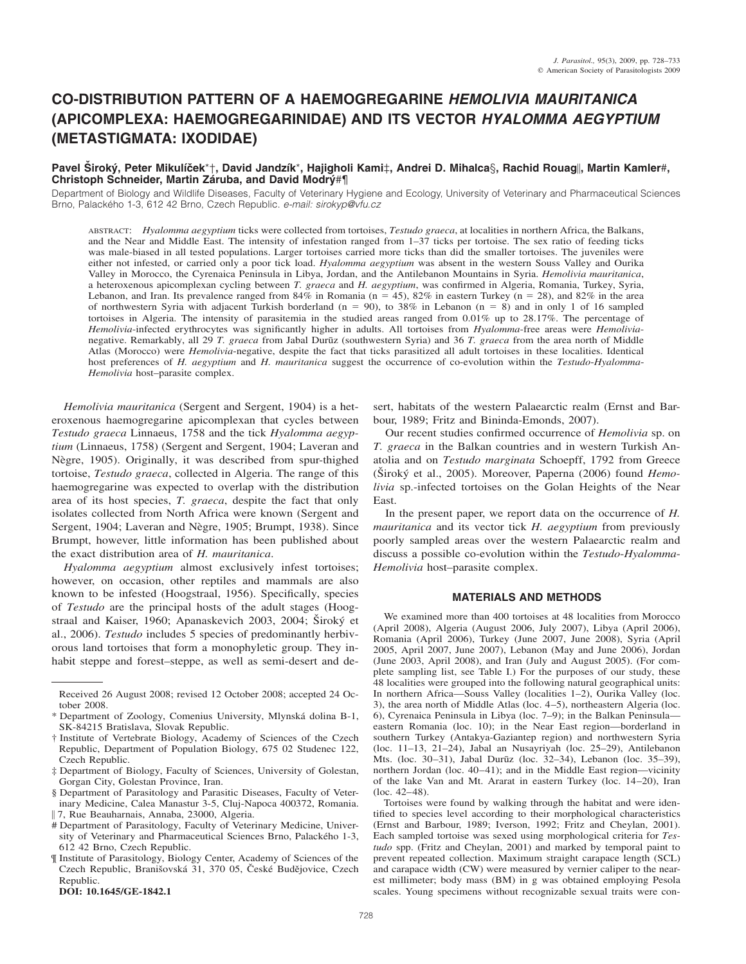# **CO-DISTRIBUTION PATTERN OF A HAEMOGREGARINE** *HEMOLIVIA MAURITANICA* **(APICOMPLEXA: HAEMOGREGARINIDAE) AND ITS VECTOR** *HYALOMMA AEGYPTIUM* **(METASTIGMATA: IXODIDAE)**

## **Pavel Siroký, Peter Mikulíček**\*†, David Jandzík\*, Hajigholi Kami‡, Andrei D. Mihalca§, Rachid Rouag||, Martin Kamler#, **Christoph Schneider, Martin Záruba, and David Modrý#¶**

Department of Biology and Wildlife Diseases, Faculty of Veterinary Hygiene and Ecology, University of Veterinary and Pharmaceutical Sciences Brno, Palackého 1-3, 612 42 Brno, Czech Republic. *e-mail: sirokyp@vfu.cz* 

ABSTRACT: *Hyalomma aegyptium* ticks were collected from tortoises, *Testudo graeca*, at localities in northern Africa, the Balkans, and the Near and Middle East. The intensity of infestation ranged from 1–37 ticks per tortoise. The sex ratio of feeding ticks was male-biased in all tested populations. Larger tortoises carried more ticks than did the smaller tortoises. The juveniles were either not infested, or carried only a poor tick load. *Hyalomma aegyptium* was absent in the western Souss Valley and Ourika Valley in Morocco, the Cyrenaica Peninsula in Libya, Jordan, and the Antilebanon Mountains in Syria. *Hemolivia mauritanica*, a heteroxenous apicomplexan cycling between *T. graeca* and *H. aegyptium*, was confirmed in Algeria, Romania, Turkey, Syria, Lebanon, and Iran. Its prevalence ranged from  $84\%$  in Romania (n = 45),  $82\%$  in eastern Turkey (n = 28), and  $82\%$  in the area of northwestern Syria with adjacent Turkish borderland  $(n = 90)$ , to 38% in Lebanon  $(n = 8)$  and in only 1 of 16 sampled tortoises in Algeria. The intensity of parasitemia in the studied areas ranged from 0.01% up to 28.17%. The percentage of *Hemolivia*-infected erythrocytes was significantly higher in adults. All tortoises from *Hyalomma*-free areas were *Hemolivia*negative. Remarkably, all 29 *T. graeca* from Jabal Durūz (southwestern Syria) and 36 *T. graeca* from the area north of Middle Atlas (Morocco) were *Hemolivia*-negative, despite the fact that ticks parasitized all adult tortoises in these localities. Identical host preferences of *H. aegyptium* and *H. mauritanica* suggest the occurrence of co-evolution within the *Testudo*-*Hyalomma*-*Hemolivia* host–parasite complex.

*Hemolivia mauritanica* (Sergent and Sergent, 1904) is a heteroxenous haemogregarine apicomplexan that cycles between *Testudo graeca* Linnaeus, 1758 and the tick *Hyalomma aegyptium* (Linnaeus, 1758) (Sergent and Sergent, 1904; Laveran and Nègre, 1905). Originally, it was described from spur-thighed tortoise, *Testudo graeca*, collected in Algeria. The range of this haemogregarine was expected to overlap with the distribution area of its host species, *T. graeca*, despite the fact that only isolates collected from North Africa were known (Sergent and Sergent, 1904; Laveran and Nègre, 1905; Brumpt, 1938). Since Brumpt, however, little information has been published about the exact distribution area of *H. mauritanica*.

*Hyalomma aegyptium* almost exclusively infest tortoises; however, on occasion, other reptiles and mammals are also known to be infested (Hoogstraal, 1956). Specifically, species of *Testudo* are the principal hosts of the adult stages (Hoogstraal and Kaiser, 1960; Apanaskevich 2003, 2004; Široký et al., 2006). *Testudo* includes 5 species of predominantly herbivorous land tortoises that form a monophyletic group. They inhabit steppe and forest–steppe, as well as semi-desert and de-

**DOI: 10.1645/GE-1842.1**

sert, habitats of the western Palaearctic realm (Ernst and Barbour, 1989; Fritz and Bininda-Emonds, 2007).

Our recent studies confirmed occurrence of *Hemolivia* sp. on *T. graeca* in the Balkan countries and in western Turkish Anatolia and on *Testudo marginata* Schoepff, 1792 from Greece (Široký et al., 2005). Moreover, Paperna (2006) found *Hemolivia* sp.-infected tortoises on the Golan Heights of the Near East.

In the present paper, we report data on the occurrence of *H. mauritanica* and its vector tick *H. aegyptium* from previously poorly sampled areas over the western Palaearctic realm and discuss a possible co-evolution within the *Testudo*-*Hyalomma*-*Hemolivia* host–parasite complex.

## **MATERIALS AND METHODS**

We examined more than 400 tortoises at 48 localities from Morocco (April 2008), Algeria (August 2006, July 2007), Libya (April 2006), Romania (April 2006), Turkey (June 2007, June 2008), Syria (April 2005, April 2007, June 2007), Lebanon (May and June 2006), Jordan (June 2003, April 2008), and Iran (July and August 2005). (For complete sampling list, see Table I.) For the purposes of our study, these 48 localities were grouped into the following natural geographical units: In northern Africa—Souss Valley (localities 1–2), Ourika Valley (loc. 3), the area north of Middle Atlas (loc. 4–5), northeastern Algeria (loc. 6), Cyrenaica Peninsula in Libya (loc. 7–9); in the Balkan Peninsula eastern Romania (loc. 10); in the Near East region—borderland in southern Turkey (Antakya-Gaziantep region) and northwestern Syria (loc. 11–13, 21–24), Jabal an Nusayriyah (loc. 25–29), Antilebanon Mts. (loc. 30–31), Jabal Durūz (loc. 32–34), Lebanon (loc. 35–39), northern Jordan (loc. 40–41); and in the Middle East region—vicinity of the lake Van and Mt. Ararat in eastern Turkey (loc. 14–20), Iran (loc. 42–48).

Tortoises were found by walking through the habitat and were identified to species level according to their morphological characteristics (Ernst and Barbour, 1989; Iverson, 1992; Fritz and Cheylan, 2001). Each sampled tortoise was sexed using morphological criteria for *Testudo* spp. (Fritz and Cheylan, 2001) and marked by temporal paint to prevent repeated collection. Maximum straight carapace length (SCL) and carapace width (CW) were measured by vernier caliper to the nearest millimeter; body mass (BM) in g was obtained employing Pesola scales. Young specimens without recognizable sexual traits were con-

Received 26 August 2008; revised 12 October 2008; accepted 24 October 2008.

<sup>\*</sup> Department of Zoology, Comenius University, Mlynska´ dolina B-1, SK-84215 Bratislava, Slovak Republic.

<sup>†</sup> Institute of Vertebrate Biology, Academy of Sciences of the Czech Republic, Department of Population Biology, 675 02 Studenec 122, Czech Republic.

<sup>‡</sup> Department of Biology, Faculty of Sciences, University of Golestan, Gorgan City, Golestan Province, Iran.

<sup>§</sup> Department of Parasitology and Parasitic Diseases, Faculty of Veterinary Medicine, Calea Manastur 3-5, Cluj-Napoca 400372, Romania.

7, Rue Beauharnais, Annaba, 23000, Algeria.

<sup>#</sup> Department of Parasitology, Faculty of Veterinary Medicine, University of Veterinary and Pharmaceutical Sciences Brno, Palackého 1-3, 612 42 Brno, Czech Republic.

<sup>¶</sup> Institute of Parasitology, Biology Center, Academy of Sciences of the Czech Republic, Branišovská 31, 370 05, České Budějovice, Czech Republic.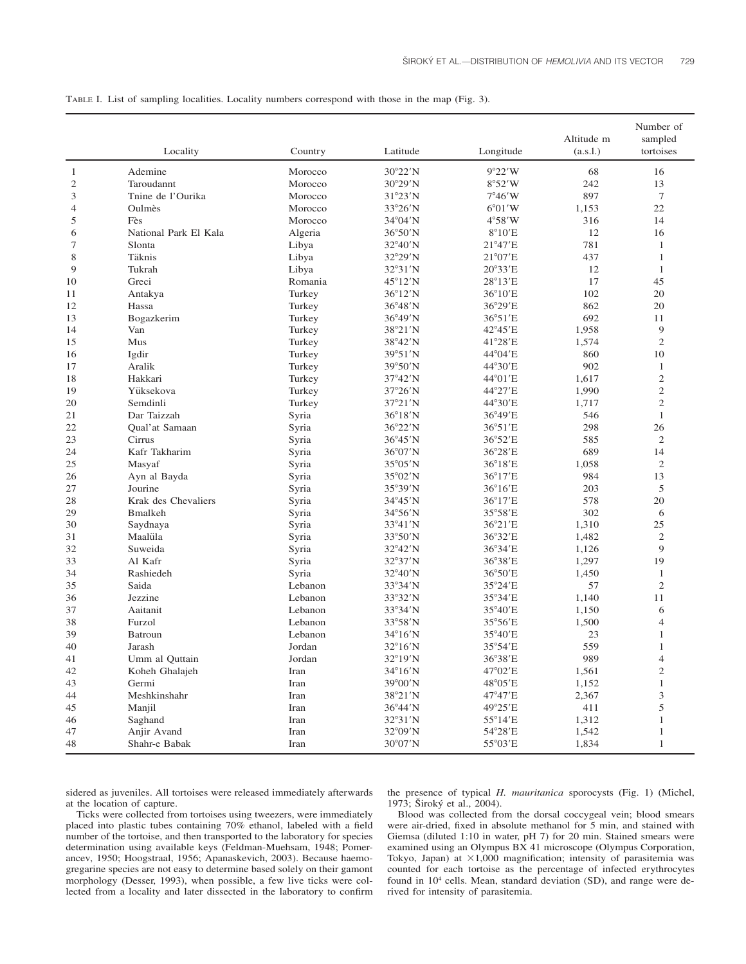TABLE I. List of sampling localities. Locality numbers correspond with those in the map (Fig. 3).

|                | Locality              | Country | Latitude          | Longitude         | Altitude m<br>(a.s.1.) | Number of<br>sampled<br>tortoises |
|----------------|-----------------------|---------|-------------------|-------------------|------------------------|-----------------------------------|
|                |                       |         |                   |                   |                        |                                   |
| 1              | Ademine               | Morocco | $30^{\circ}22'$ N | 9°22'W            | 68                     | 16                                |
| $\mathfrak{2}$ | Taroudannt            | Morocco | $30^{\circ}29'$ N | 8°52'W            | 242                    | 13                                |
| 3              | Tnine de l'Ourika     | Morocco | 31°23'N           | $7^{\circ}46'$ W  | 897                    | 7                                 |
| 4              | Oulmès                | Morocco | 33°26'N           | $6^{\circ}01'$ W  | 1,153                  | 22                                |
| 5              | Fès                   | Morocco | 34°04'N           | $4^{\circ}58'$ W  | 316                    | 14                                |
| 6              | National Park El Kala | Algeria | $36^{\circ}50'$ N | $8^{\circ}10'E$   | 12                     | 16                                |
| 7              | Slonta                | Libya   | 32°40'N           | $21^{\circ}47' E$ | 781                    | 1                                 |
| 8              | Täknis                | Libya   | 32°29'N           | $21^{\circ}07'E$  | 437                    | $\mathbf{1}$                      |
| 9              | Tukrah                | Libya   | $32^{\circ}31'$ N | 20°33'E           | 12                     | $\mathbf{1}$                      |
| 10             | Greci                 | Romania | 45°12'N           | 28°13'E           | 17                     | 45                                |
| 11             | Antakya               | Turkey  | $36^{\circ}12'$ N | 36°10'E           | 102                    | 20                                |
| 12             | Hassa                 | Turkey  | $36^{\circ}48'$ N | 36°29'E           | 862                    | 20                                |
| 13             | Bogazkerim            | Turkey  | 36°49'N           | $36^{\circ}51'E$  | 692                    | 11                                |
| 14             | Van                   | Turkey  | 38°21'N           | 42°45'E           | 1,958                  | 9                                 |
| 15             | Mus                   | Turkey  | 38°42'N           | 41°28'E           | 1,574                  | $\mathfrak{2}$                    |
| 16             | Igdir                 | Turkey  | 39°51'N           | 44°04'E           | 860                    | 10                                |
| 17             | Aralik                | Turkey  | 39°50'N           | 44°30'E           | 902                    | $\mathbf{1}$                      |
| 18             | Hakkari               | Turkey  | 37°42'N           | 44°01'E           | 1,617                  | $\overline{c}$                    |
| 19             | Yüksekova             | Turkey  | 37°26'N           | 44°27'E           | 1,990                  | $\mathfrak{2}$                    |
| 20             | Semdinli              | Turkey  | 37°21'N           | 44°30'E           | 1,717                  | $\overline{c}$                    |
| 21             | Dar Taizzah           | Syria   | $36^{\circ}18'$ N | 36°49'E           | 546                    | $\mathbf{1}$                      |
| 22             | Qual'at Samaan        | Syria   | 36°22'N           | 36°51'E           | 298                    | 26                                |
| 23             | Cirrus                | Syria   | $36^{\circ}45'$ N | 36°52'E           | 585                    | $\mathfrak{2}$                    |
| 24             | Kafr Takharim         | Syria   | 36°07'N           | 36°28'E           | 689                    | 14                                |
| 25             | Masyaf                | Syria   | 35°05'N           | 36°18'E           | 1,058                  | $\mathfrak{2}$                    |
| 26             | Ayn al Bayda          | Syria   | 35°02'N           | $36^{\circ}17'E$  | 984                    | 13                                |
| 27             | Jourine               | Syria   | 35°39'N           | $36^{\circ}16'E$  | 203                    | 5                                 |
| 28             | Krak des Chevaliers   | Syria   | 34°45'N           | $36^{\circ}17'E$  | 578                    | 20                                |
| 29             | <b>B</b> malkeh       | Syria   | 34°56'N           | 35°58'E           | 302                    | 6                                 |
| 30             | Saydnaya              | Syria   | $33^{\circ}41'$ N | 36°21'E           | 1,310                  | 25                                |
| 31             | Maalüla               | Syria   | 33°50'N           | 36°32'E           | 1,482                  | $\mathfrak{2}$                    |
| 32             | Suweida               | Syria   | 32°42'N           | 36°34'E           | 1,126                  | 9                                 |
| 33             | Al Kafr               | Syria   | 32°37'N           | 36°38'E           | 1,297                  | 19                                |
| 34             | Rashiedeh             | Syria   | 32°40'N           | 36°50'E           | 1,450                  | $\mathbf{1}$                      |
| 35             | Saida                 | Lebanon | 33°34'N           | 35°24'E           | 57                     | $\mathfrak{2}$                    |
| 36             | Jezzine               | Lebanon | 33°32'N           | 35°34'E           | 1,140                  | 11                                |
| 37             | Aaitanit              | Lebanon | 33°34'N           | 35°40'E           | 1,150                  | 6                                 |
| 38             | Furzol                | Lebanon | 33°58'N           | 35°56'E           | 1,500                  | 4                                 |
| 39             | <b>Batroun</b>        | Lebanon | $34^{\circ}16'$ N | 35°40'E           | 23                     | 1                                 |
| 40             | Jarash                | Jordan  | $32^{\circ}16'$ N | 35°54'E           | 559                    | 1                                 |
| 41             | Umm al Quttain        | Jordan  | 32°19'N           | 36°38'E           | 989                    | 4                                 |
| 42             | Koheh Ghalajeh        | Iran    | $34^{\circ}16'$ N | $47^{\circ}02'E$  | 1,561                  | $\mathfrak{2}$                    |
| 43             | Germi                 | Iran    | 39°00'N           | 48°05'E           | 1,152                  | 1                                 |
| 44             | Meshkinshahr          | Iran    | 38°21'N           | 47°47'E           | 2,367                  | 3                                 |
| 45             | Manjil                | Iran    | 36°44'N           | 49°25'E           | 411                    | 5                                 |
| 46             | Saghand               | Iran    | $32^{\circ}31'$ N | $55^{\circ}14'E$  | 1,312                  | 1                                 |
| 47             | Anjir Avand           | Iran    | 32°09'N           | 54°28'E           | 1,542                  | 1                                 |
| 48             | Shahr-e Babak         | Iran    | 30°07'N           | 55°03'E           | 1,834                  | $\mathbf{1}$                      |

sidered as juveniles. All tortoises were released immediately afterwards at the location of capture.

the presence of typical *H. mauritanica* sporocysts (Fig. 1) (Michel, 1973; Široký et al., 2004).

Ticks were collected from tortoises using tweezers, were immediately placed into plastic tubes containing 70% ethanol, labeled with a field number of the tortoise, and then transported to the laboratory for species determination using available keys (Feldman-Muehsam, 1948; Pomerancev, 1950; Hoogstraal, 1956; Apanaskevich, 2003). Because haemogregarine species are not easy to determine based solely on their gamont morphology (Desser, 1993), when possible, a few live ticks were collected from a locality and later dissected in the laboratory to confirm

Blood was collected from the dorsal coccygeal vein; blood smears were air-dried, fixed in absolute methanol for 5 min, and stained with Giemsa (diluted 1:10 in water, pH 7) for 20 min. Stained smears were examined using an Olympus BX 41 microscope (Olympus Corporation, Tokyo, Japan) at  $\times 1,000$  magnification; intensity of parasitemia was counted for each tortoise as the percentage of infected erythrocytes found in 104 cells. Mean, standard deviation (SD), and range were derived for intensity of parasitemia.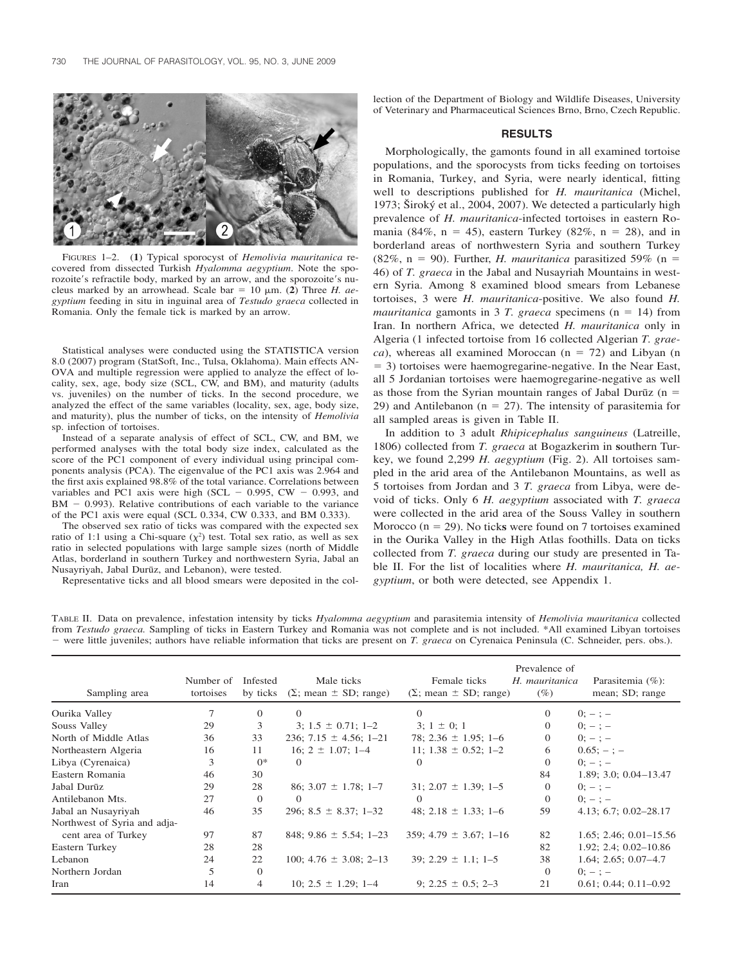

FIGURES 1–2. (**1**) Typical sporocyst of *Hemolivia mauritanica* recovered from dissected Turkish *Hyalomma aegyptium*. Note the sporozoite's refractile body, marked by an arrow, and the sporozoite's nucleus marked by an arrowhead. Scale bar =  $10 \mu m$ . (2) Three *H. aegyptium* feeding in situ in inguinal area of *Testudo graeca* collected in Romania. Only the female tick is marked by an arrow.

Statistical analyses were conducted using the STATISTICA version 8.0 (2007) program (StatSoft, Inc., Tulsa, Oklahoma). Main effects AN-OVA and multiple regression were applied to analyze the effect of locality, sex, age, body size (SCL, CW, and BM), and maturity (adults vs. juveniles) on the number of ticks. In the second procedure, we analyzed the effect of the same variables (locality, sex, age, body size, and maturity), plus the number of ticks, on the intensity of *Hemolivia* sp. infection of tortoises.

Instead of a separate analysis of effect of SCL, CW, and BM, we performed analyses with the total body size index, calculated as the score of the PC1 component of every individual using principal components analysis (PCA). The eigenvalue of the PC1 axis was 2.964 and the first axis explained 98.8% of the total variance. Correlations between variables and PC1 axis were high (SCL  $-$  0.995, CW  $-$  0.993, and  $BM - 0.993$ ). Relative contributions of each variable to the variance of the PC1 axis were equal (SCL 0.334, CW 0.333, and BM 0.333).

The observed sex ratio of ticks was compared with the expected sex ratio of 1:1 using a Chi-square  $(\chi^2)$  test. Total sex ratio, as well as sex ratio in selected populations with large sample sizes (north of Middle Atlas, borderland in southern Turkey and northwestern Syria, Jabal an Nusayriyah, Jabal Durūz, and Lebanon), were tested.

Representative ticks and all blood smears were deposited in the col-

lection of the Department of Biology and Wildlife Diseases, University of Veterinary and Pharmaceutical Sciences Brno, Brno, Czech Republic.

### **RESULTS**

Morphologically, the gamonts found in all examined tortoise populations, and the sporocysts from ticks feeding on tortoises in Romania, Turkey, and Syria, were nearly identical, fitting well to descriptions published for *H. mauritanica* (Michel, 1973; Siroký et al., 2004, 2007). We detected a particularly high prevalence of *H. mauritanica*-infected tortoises in eastern Romania (84%,  $n = 45$ ), eastern Turkey (82%,  $n = 28$ ), and in borderland areas of northwestern Syria and southern Turkey  $(82\%, n = 90)$ . Further, *H. mauritanica* parasitized 59% (n = 46) of *T. graeca* in the Jabal and Nusayriah Mountains in western Syria. Among 8 examined blood smears from Lebanese tortoises, 3 were *H. mauritanica*-positive. We also found *H.*  $mauritanical$  gamonts in 3 *T. graeca* specimens ( $n = 14$ ) from Iran. In northern Africa, we detected *H. mauritanica* only in Algeria (1 infected tortoise from 16 collected Algerian *T. grae* $ca$ ), whereas all examined Moroccan ( $n = 72$ ) and Libyan ( $n$ - 3) tortoises were haemogregarine-negative. In the Near East, all 5 Jordanian tortoises were haemogregarine-negative as well as those from the Syrian mountain ranges of Jabal Durūz ( $n =$ 29) and Antilebanon ( $n = 27$ ). The intensity of parasitemia for all sampled areas is given in Table II.

In addition to 3 adult *Rhipicephalus sanguineus* (Latreille, 1806) collected from *T. graeca* at Bogazkerim in **s**outhern Turkey, we found 2,299 *H. aegyptium* (Fig. 2). All tortoises sampled in the arid area of the Antilebanon Mountains, as well as 5 tortoises from Jordan and 3 *T. graeca* from Libya, were devoid of ticks. Only 6 *H. aegyptium* associated with *T. graeca* were collected in the arid area of the Souss Valley in southern Morocco  $(n = 29)$ . No ticks were found on 7 tortoises examined in the Ourika Valley in the High Atlas foothills. Data on ticks collected from *T. graeca* during our study are presented in Table II. For the list of localities where *H. mauritanica, H. aegyptium*, or both were detected, see Appendix 1.

TABLE II. Data on prevalence, infestation intensity by ticks *Hyalomma aegyptium* and parasitemia intensity of *Hemolivia mauritanica* collected from *Testudo graeca.* Sampling of ticks in Eastern Turkey and Romania was not complete and is not included. \*All examined Libyan tortoises were little juveniles; authors have reliable information that ticks are present on *T. graeca* on Cyrenaica Peninsula (C. Schneider, pers. obs.).

| Sampling area                | Number of<br>tortoises | Infested<br>by ticks | Male ticks<br>$(\Sigma; \text{mean} \pm SD; \text{range})$ | Female ticks<br>$(\Sigma; \text{mean} \pm SD; \text{range})$ | Prevalence of<br>H. mauritanica<br>(%) | Parasitemia $(\%):$<br>mean; SD; range |
|------------------------------|------------------------|----------------------|------------------------------------------------------------|--------------------------------------------------------------|----------------------------------------|----------------------------------------|
| Ourika Valley                |                        | $\Omega$             | $\Omega$                                                   | $\Omega$                                                     | $\Omega$                               | $0; - ; -$                             |
| Souss Valley                 | 29                     | 3                    | $3: 1.5 \pm 0.71; 1 - 2$                                   | $3; 1 \pm 0; 1$                                              | $\overline{0}$                         | $0: -:-$                               |
| North of Middle Atlas        | 36                     | 33                   | 236; 7.15 $\pm$ 4.56; 1-21                                 | 78; 2.36 $\pm$ 1.95; 1-6                                     | $\Omega$                               | $0:-:-$                                |
| Northeastern Algeria         | 16                     | 11                   | $16: 2 \pm 1.07: 1-4$                                      | 11; 1.38 $\pm$ 0.52; 1-2                                     | 6                                      | $0.65:-:-$                             |
| Libya (Cyrenaica)            | 3                      | $()^*$               | $\Omega$                                                   | $\theta$                                                     | $\Omega$                               | $0:-:-$                                |
| Eastern Romania              | 46                     | 30                   |                                                            |                                                              | 84                                     | $1.89; 3.0; 0.04 - 13.47$              |
| Jabal Durūz                  | 29                     | 28                   | $86; 3.07 \pm 1.78; 1 - 7$                                 | $31: 2.07 \pm 1.39: 1-5$                                     | $\Omega$                               | $0: -:-$                               |
| Antilebanon Mts.             | 27                     | $\Omega$             | $\Omega$                                                   | $\Omega$                                                     | $\Omega$                               | $0: -:-$                               |
| Jabal an Nusayriyah          | 46                     | 35                   | 296; $8.5 \pm 8.37$ ; 1-32                                 | 48; 2.18 $\pm$ 1.33; 1-6                                     | 59                                     | $4.13; 6.7; 0.02 - 28.17$              |
| Northwest of Syria and adja- |                        |                      |                                                            |                                                              |                                        |                                        |
| cent area of Turkey          | 97                     | 87                   | 848; 9.86 $\pm$ 5.54; 1-23                                 | $359; 4.79 \pm 3.67; 1 - 16$                                 | 82                                     | $1.65; 2.46; 0.01 - 15.56$             |
| Eastern Turkey               | 28                     | 28                   |                                                            |                                                              | 82                                     | $1.92; 2.4; 0.02-10.86$                |
| Lebanon                      | 24                     | 22                   | 100; 4.76 $\pm$ 3.08; 2-13                                 | $39: 2.29 \pm 1.1: 1-5$                                      | 38                                     | $1.64; 2.65; 0.07-4.7$                 |
| Northern Jordan              | 5                      | $\Omega$             |                                                            |                                                              | $\Omega$                               | $0; - ; -$                             |
| Iran                         | 14                     | 4                    | 10; $2.5 \pm 1.29$ ; 1-4                                   | 9; $2.25 \pm 0.5$ ; $2-3$                                    | 21                                     | $0.61; 0.44; 0.11 - 0.92$              |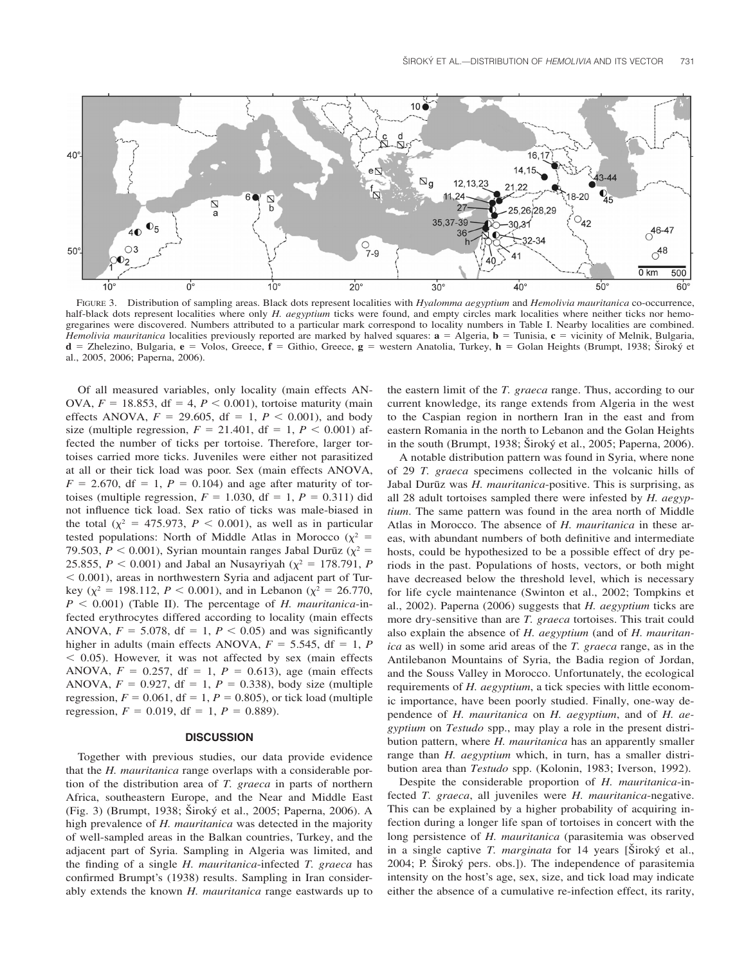

FIGURE 3. Distribution of sampling areas. Black dots represent localities with *Hyalomma aegyptium* and *Hemolivia mauritanica* co-occurrence, half-black dots represent localities where only *H. aegyptium* ticks were found, and empty circles mark localities where neither ticks nor hemogregarines were discovered. Numbers attributed to a particular mark correspond to locality numbers in Table I. Nearby localities are combined. Hemolivia mauritanica localities previously reported are marked by halved squares:  $\mathbf{a} = \text{Algeria}, \mathbf{b} = \text{Tunisia}, \mathbf{c} = \text{vicinity of Melnik}, \text{Bulgaria}, \text{Ahebola}$ **d** = Zhelezino, Bulgaria, **e** = Volos, Greece, **f** = Githio, Greece, **g** = western Anatolia, Turkey, **h** = Golan Heights (Brumpt, 1938; Široký et al., 2005, 2006; Paperna, 2006).

Of all measured variables, only locality (main effects AN-OVA,  $F = 18.853$ , df = 4,  $P < 0.001$ ), tortoise maturity (main effects ANOVA,  $F = 29.605$ , df = 1,  $P < 0.001$ ), and body size (multiple regression,  $F = 21.401$ , df = 1,  $P < 0.001$ ) affected the number of ticks per tortoise. Therefore, larger tortoises carried more ticks. Juveniles were either not parasitized at all or their tick load was poor. Sex (main effects ANOVA,  $F = 2.670$ , df = 1,  $P = 0.104$ ) and age after maturity of tortoises (multiple regression,  $F = 1.030$ , df = 1,  $P = 0.311$ ) did not influence tick load. Sex ratio of ticks was male-biased in the total  $(\chi^2 = 475.973, P < 0.001)$ , as well as in particular tested populations: North of Middle Atlas in Morocco ( $\chi^2$  = 79.503,  $P < 0.001$ ), Syrian mountain ranges Jabal Durūz ( $\chi^2$  = 25.855,  $P < 0.001$ ) and Jabal an Nusayriyah ( $\chi^2 = 178.791$ , *P*  $0.001$ ), areas in northwestern Syria and adjacent part of Turkey ( $\chi^2 = 198.112$ ,  $P < 0.001$ ), and in Lebanon ( $\chi^2 = 26.770$ ,  $P < 0.001$ ) (Table II). The percentage of *H. mauritanica*-infected erythrocytes differed according to locality (main effects ANOVA,  $F = 5.078$ , df = 1,  $P < 0.05$ ) and was significantly higher in adults (main effects ANOVA,  $F = 5.545$ , df = 1, *P*  $<$  0.05). However, it was not affected by sex (main effects ANOVA,  $F = 0.257$ , df = 1,  $P = 0.613$ ), age (main effects ANOVA,  $F = 0.927$ , df = 1,  $P = 0.338$ ), body size (multiple regression,  $F = 0.061$ ,  $df = 1$ ,  $P = 0.805$ ), or tick load (multiple regression,  $F = 0.019$ , df = 1,  $P = 0.889$ ).

#### **DISCUSSION**

Together with previous studies, our data provide evidence that the *H. mauritanica* range overlaps with a considerable portion of the distribution area of *T. graeca* in parts of northern Africa, southeastern Europe, and the Near and Middle East (Fig. 3) (Brumpt, 1938; Široký et al., 2005; Paperna, 2006). A high prevalence of *H. mauritanica* was detected in the majority of well-sampled areas in the Balkan countries, Turkey, and the adjacent part of Syria. Sampling in Algeria was limited, and the finding of a single *H. mauritanica*-infected *T. graeca* has confirmed Brumpt's (1938) results. Sampling in Iran considerably extends the known *H. mauritanica* range eastwards up to

the eastern limit of the *T. graeca* range. Thus, according to our current knowledge, its range extends from Algeria in the west to the Caspian region in northern Iran in the east and from eastern Romania in the north to Lebanon and the Golan Heights in the south (Brumpt, 1938;  $\text{Siroký et al., 2005}$ ; Paperna, 2006).

A notable distribution pattern was found in Syria, where none of 29 *T. graeca* specimens collected in the volcanic hills of Jabal Durūz was *H. mauritanica*-positive. This is surprising, as all 28 adult tortoises sampled there were infested by *H. aegyptium*. The same pattern was found in the area north of Middle Atlas in Morocco. The absence of *H. mauritanica* in these areas, with abundant numbers of both definitive and intermediate hosts, could be hypothesized to be a possible effect of dry periods in the past. Populations of hosts, vectors, or both might have decreased below the threshold level, which is necessary for life cycle maintenance (Swinton et al., 2002; Tompkins et al., 2002). Paperna (2006) suggests that *H. aegyptium* ticks are more dry-sensitive than are *T. graeca* tortoises. This trait could also explain the absence of *H. aegyptium* (and of *H. mauritanica* as well) in some arid areas of the *T. graeca* range, as in the Antilebanon Mountains of Syria, the Badia region of Jordan, and the Souss Valley in Morocco. Unfortunately, the ecological requirements of *H. aegyptium*, a tick species with little economic importance, have been poorly studied. Finally, one-way dependence of *H. mauritanica* on *H. aegyptium*, and of *H. aegyptium* on *Testudo* spp., may play a role in the present distribution pattern, where *H. mauritanica* has an apparently smaller range than *H. aegyptium* which, in turn, has a smaller distribution area than *Testudo* spp. (Kolonin, 1983; Iverson, 1992).

Despite the considerable proportion of *H. mauritanica*-infected *T. graeca*, all juveniles were *H. mauritanica*-negative. This can be explained by a higher probability of acquiring infection during a longer life span of tortoises in concert with the long persistence of *H. mauritanica* (parasitemia was observed in a single captive *T. marginata* for 14 years [Široký et al., 2004; P. Široký pers. obs.]). The independence of parasitemia intensity on the host's age, sex, size, and tick load may indicate either the absence of a cumulative re-infection effect, its rarity,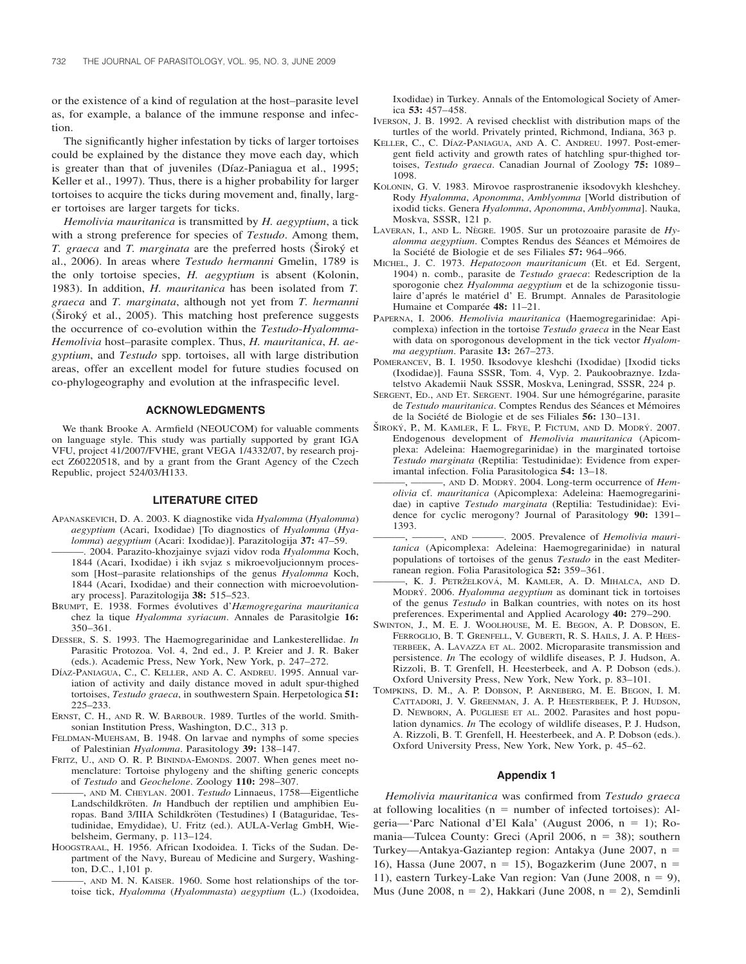or the existence of a kind of regulation at the host–parasite level as, for example, a balance of the immune response and infection.

The significantly higher infestation by ticks of larger tortoises could be explained by the distance they move each day, which is greater than that of juveniles (Díaz-Paniagua et al., 1995; Keller et al., 1997). Thus, there is a higher probability for larger tortoises to acquire the ticks during movement and, finally, larger tortoises are larger targets for ticks.

*Hemolivia mauritanica* is transmitted by *H. aegyptium*, a tick with a strong preference for species of *Testudo*. Among them, *T. graeca* and *T. marginata* are the preferred hosts (Siroký et al., 2006). In areas where *Testudo hermanni* Gmelin, 1789 is the only tortoise species, *H. aegyptium* is absent (Kolonin, 1983). In addition, *H. mauritanica* has been isolated from *T. graeca* and *T. marginata*, although not yet from *T. hermanni*  $(\text{Široký et al., 2005}).$  This matching host preference suggests the occurrence of co-evolution within the *Testudo*-*Hyalomma*-*Hemolivia* host–parasite complex. Thus, *H. mauritanica*, *H. aegyptium*, and *Testudo* spp. tortoises, all with large distribution areas, offer an excellent model for future studies focused on co-phylogeography and evolution at the infraspecific level.

#### **ACKNOWLEDGMENTS**

We thank Brooke A. Armfield (NEOUCOM) for valuable comments on language style. This study was partially supported by grant IGA VFU, project 41/2007/FVHE, grant VEGA 1/4332/07, by research project Z60220518, and by a grant from the Grant Agency of the Czech Republic, project 524/03/H133.

#### **LITERATURE CITED**

- APANASKEVICH, D. A. 2003. K diagnostike vida *Hyalomma* (*Hyalomma*) *aegyptium* (Acari, Ixodidae) [To diagnostics of *Hyalomma* (*Hyalomma*) *aegyptium* (Acari: Ixodidae)]. Parazitologija **37:** 47–59.
- ———. 2004. Parazito-khozjainye svjazi vidov roda *Hyalomma* Koch, 1844 (Acari, Ixodidae) i ikh svjaz s mikroevoljucionnym processom [Host–parasite relationships of the genus *Hyalomma* Koch, 1844 (Acari, Ixodidae) and their connection with microevolutionary process]. Parazitologija **38:** 515–523.
- BRUMPT, E. 1938. Formes évolutives d'Hæmogregarina mauritanica chez la tique *Hyalomma syriacum*. Annales de Parasitolgie **16:** 350–361.
- DESSER, S. S. 1993. The Haemogregarinidae and Lankesterellidae. *In* Parasitic Protozoa. Vol. 4, 2nd ed., J. P. Kreier and J. R. Baker (eds.). Academic Press, New York, New York, p. 247–272.
- DÍAZ-PANIAGUA, C., C. KELLER, AND A. C. ANDREU. 1995. Annual variation of activity and daily distance moved in adult spur-thighed tortoises, *Testudo graeca*, in southwestern Spain. Herpetologica **51:** 225–233.
- ERNST, C. H., AND R. W. BARBOUR. 1989. Turtles of the world. Smithsonian Institution Press, Washington, D.C., 313 p.
- FELDMAN-MUEHSAM, B. 1948. On larvae and nymphs of some species of Palestinian *Hyalomma*. Parasitology **39:** 138–147.
- FRITZ, U., AND O. R. P. BININDA-EMONDS. 2007. When genes meet nomenclature: Tortoise phylogeny and the shifting generic concepts of *Testudo* and *Geochelone*. Zoology **110:** 298–307.
	- ———, AND M. CHEYLAN. 2001. *Testudo* Linnaeus, 1758—Eigentliche Landschildkröten. *In* Handbuch der reptilien und amphibien Europas. Band 3/IIIA Schildkröten (Testudines) I (Bataguridae, Testudinidae, Emydidae), U. Fritz (ed.). AULA-Verlag GmbH, Wiebelsheim, Germany, p. 113–124.
- HOOGSTRAAL, H. 1956. African Ixodoidea. I. Ticks of the Sudan. Department of the Navy, Bureau of Medicine and Surgery, Washington, D.C., 1,101 p.
	- -, AND M. N. KAISER. 1960. Some host relationships of the tortoise tick, *Hyalomma* (*Hyalommasta*) *aegyptium* (L.) (Ixodoidea,

Ixodidae) in Turkey. Annals of the Entomological Society of America **53:** 457–458.

- IVERSON, J. B. 1992. A revised checklist with distribution maps of the turtles of the world. Privately printed, Richmond, Indiana, 363 p.
- KELLER, C., C. DÍAZ-PANIAGUA, AND A. C. ANDREU. 1997. Post-emergent field activity and growth rates of hatchling spur-thighed tortoises, *Testudo graeca*. Canadian Journal of Zoology **75:** 1089– 1098.
- KOLONIN, G. V. 1983. Mirovoe rasprostranenie iksodovykh kleshchey. Rody *Hyalomma*, *Aponomma*, *Amblyomma* [World distribution of ixodid ticks. Genera *Hyalomma*, *Aponomma*, *Amblyomma*]. Nauka, Moskva, SSSR, 121 p.
- LAVERAN, I., AND L. NEGRE. 1905. Sur un protozoaire parasite de *Hyalomma aegyptium*. Comptes Rendus des Séances et Mémoires de la Société de Biologie et de ses Filiales 57: 964-966.
- MICHEL, J. C. 1973. *Hepatozoon mauritanicum* (Et. et Ed. Sergent, 1904) n. comb., parasite de *Testudo graeca*: Redescription de la sporogonie chez *Hyalomma aegyptium* et de la schizogonie tissulaire d'aprés le matériel d' E. Brumpt. Annales de Parasitologie Humaine et Comparée 48: 11-21.
- PAPERNA, I. 2006. *Hemolivia mauritanica* (Haemogregarinidae: Apicomplexa) infection in the tortoise *Testudo graeca* in the Near East with data on sporogonous development in the tick vector *Hyalomma aegyptium*. Parasite **13:** 267–273.
- POMERANCEV, B. I. 1950. Iksodovye kleshchi (Ixodidae) [Ixodid ticks (Ixodidae)]. Fauna SSSR, Tom. 4, Vyp. 2. Paukoobraznye. Izdatelstvo Akademii Nauk SSSR, Moskva, Leningrad, SSSR, 224 p.
- SERGENT, ED., AND ET. SERGENT. 1904. Sur une hémogrégarine, parasite de Testudo mauritanica. Comptes Rendus des Séances et Mémoires de la Société de Biologie et de ses Filiales **56:** 130–131.
- ŠIROKÝ, P., M. KAMLER, F. L. FRYE, P. FICTUM, AND D. MODRÝ. 2007. Endogenous development of *Hemolivia mauritanica* (Apicomplexa: Adeleina: Haemogregarinidae) in the marginated tortoise *Testudo marginata* (Reptilia: Testudinidae): Evidence from experimantal infection. Folia Parasitologica **54:** 13–18.
- ———, ———, AND D. MODRY´ . 2004. Long-term occurrence of *Hemolivia* cf. *mauritanica* (Apicomplexa: Adeleina: Haemogregarinidae) in captive *Testudo marginata* (Reptilia: Testudinidae): Evidence for cyclic merogony? Journal of Parasitology **90:** 1391– 1393.
- ———, ———, AND ———. 2005. Prevalence of *Hemolivia mauritanica* (Apicomplexa: Adeleina: Haemogregarinidae) in natural populations of tortoises of the genus *Testudo* in the east Mediterranean region. Folia Parasitologica **52:** 359–361.
- ———, K. J. PETRZˇELKOVA´ , M. KAMLER, A. D. MIHALCA, AND D. MODRÝ. 2006. *Hyalomma aegyptium* as dominant tick in tortoises of the genus *Testudo* in Balkan countries, with notes on its host preferences. Experimental and Applied Acarology **40:** 279–290.
- SWINTON, J., M. E. J. WOOLHOUSE, M. E. BEGON, A. P. DOBSON, E. FERROGLIO, B. T. GRENFELL, V. GUBERTI, R. S. HAILS, J. A. P. HEES-TERBEEK, A. LAVAZZA ET AL. 2002. Microparasite transmission and persistence. *In* The ecology of wildlife diseases, P. J. Hudson, A. Rizzoli, B. T. Grenfell, H. Heesterbeek, and A. P. Dobson (eds.). Oxford University Press, New York, New York, p. 83–101.
- TOMPKINS, D. M., A. P. DOBSON, P. ARNEBERG, M. E. BEGON, I. M. CATTADORI, J. V. GREENMAN, J. A. P. HEESTERBEEK, P. J. HUDSON, D. NEWBORN, A. PUGLIESE ET AL. 2002. Parasites and host population dynamics. *In* The ecology of wildlife diseases, P. J. Hudson, A. Rizzoli, B. T. Grenfell, H. Heesterbeek, and A. P. Dobson (eds.). Oxford University Press, New York, New York, p. 45–62.

#### **Appendix 1**

*Hemolivia mauritanica* was confirmed from *Testudo graeca* at following localities ( $n =$  number of infected tortoises): Algeria—'Parc National d'El Kala' (August 2006, n = 1); Romania—Tulcea County: Greci (April 2006, n = 38); southern Turkey—Antakya-Gaziantep region: Antakya (June 2007, n - 16), Hassa (June 2007, n = 15), Bogazkerim (June 2007, n = 11), eastern Turkey-Lake Van region: Van (June 2008,  $n = 9$ ), Mus (June 2008,  $n = 2$ ), Hakkari (June 2008,  $n = 2$ ), Semdinli